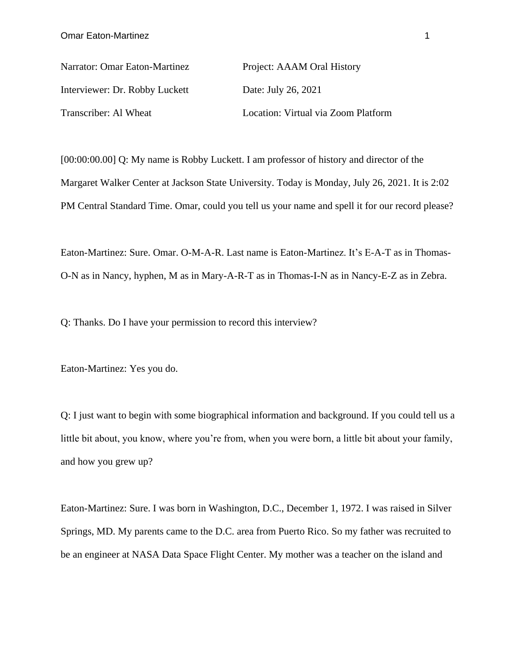Narrator: Omar Eaton-Martinez Project: AAAM Oral History Interviewer: Dr. Robby Luckett Date: July 26, 2021 Transcriber: Al Wheat Location: Virtual via Zoom Platform

[00:00:00.00] Q: My name is Robby Luckett. I am professor of history and director of the Margaret Walker Center at Jackson State University. Today is Monday, July 26, 2021. It is 2:02 PM Central Standard Time. Omar, could you tell us your name and spell it for our record please?

Eaton-Martinez: Sure. Omar. O-M-A-R. Last name is Eaton-Martinez. It's E-A-T as in Thomas-O-N as in Nancy, hyphen, M as in Mary-A-R-T as in Thomas-I-N as in Nancy-E-Z as in Zebra.

Q: Thanks. Do I have your permission to record this interview?

Eaton-Martinez: Yes you do.

Q: I just want to begin with some biographical information and background. If you could tell us a little bit about, you know, where you're from, when you were born, a little bit about your family, and how you grew up?

Eaton-Martinez: Sure. I was born in Washington, D.C., December 1, 1972. I was raised in Silver Springs, MD. My parents came to the D.C. area from Puerto Rico. So my father was recruited to be an engineer at NASA Data Space Flight Center. My mother was a teacher on the island and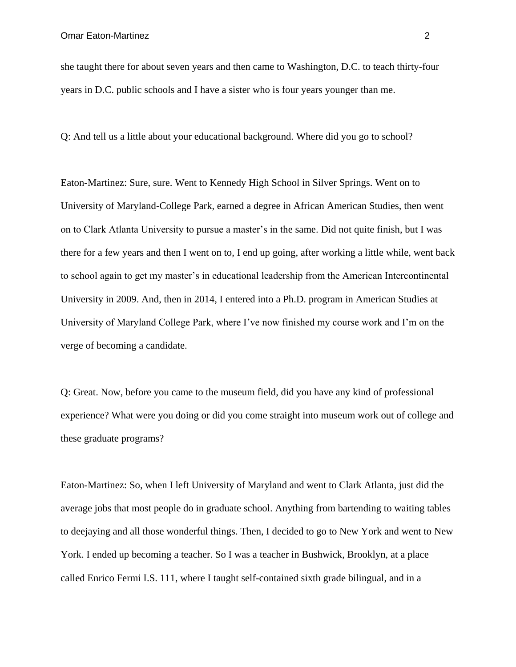she taught there for about seven years and then came to Washington, D.C. to teach thirty-four years in D.C. public schools and I have a sister who is four years younger than me.

Q: And tell us a little about your educational background. Where did you go to school?

Eaton-Martinez: Sure, sure. Went to Kennedy High School in Silver Springs. Went on to University of Maryland-College Park, earned a degree in African American Studies, then went on to Clark Atlanta University to pursue a master's in the same. Did not quite finish, but I was there for a few years and then I went on to, I end up going, after working a little while, went back to school again to get my master's in educational leadership from the American Intercontinental University in 2009. And, then in 2014, I entered into a Ph.D. program in American Studies at University of Maryland College Park, where I've now finished my course work and I'm on the verge of becoming a candidate.

Q: Great. Now, before you came to the museum field, did you have any kind of professional experience? What were you doing or did you come straight into museum work out of college and these graduate programs?

Eaton-Martinez: So, when I left University of Maryland and went to Clark Atlanta, just did the average jobs that most people do in graduate school. Anything from bartending to waiting tables to deejaying and all those wonderful things. Then, I decided to go to New York and went to New York. I ended up becoming a teacher. So I was a teacher in Bushwick, Brooklyn, at a place called Enrico Fermi I.S. 111, where I taught self-contained sixth grade bilingual, and in a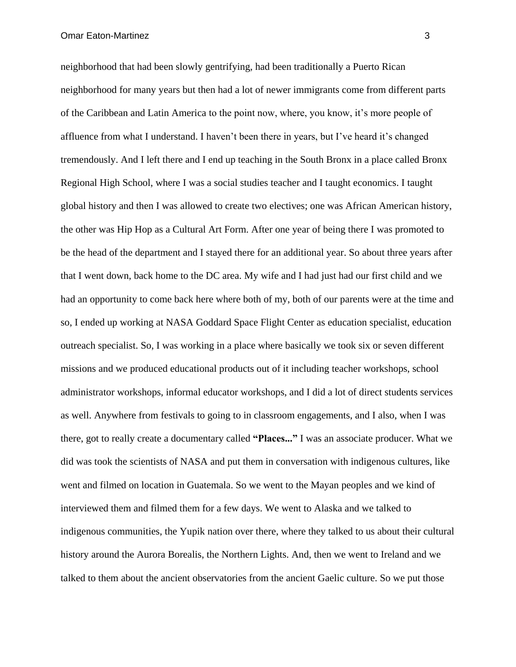neighborhood that had been slowly gentrifying, had been traditionally a Puerto Rican neighborhood for many years but then had a lot of newer immigrants come from different parts of the Caribbean and Latin America to the point now, where, you know, it's more people of affluence from what I understand. I haven't been there in years, but I've heard it's changed tremendously. And I left there and I end up teaching in the South Bronx in a place called Bronx Regional High School, where I was a social studies teacher and I taught economics. I taught global history and then I was allowed to create two electives; one was African American history, the other was Hip Hop as a Cultural Art Form. After one year of being there I was promoted to be the head of the department and I stayed there for an additional year. So about three years after that I went down, back home to the DC area. My wife and I had just had our first child and we had an opportunity to come back here where both of my, both of our parents were at the time and so, I ended up working at NASA Goddard Space Flight Center as education specialist, education outreach specialist. So, I was working in a place where basically we took six or seven different missions and we produced educational products out of it including teacher workshops, school administrator workshops, informal educator workshops, and I did a lot of direct students services as well. Anywhere from festivals to going to in classroom engagements, and I also, when I was there, got to really create a documentary called **"Places..."** I was an associate producer. What we did was took the scientists of NASA and put them in conversation with indigenous cultures, like went and filmed on location in Guatemala. So we went to the Mayan peoples and we kind of interviewed them and filmed them for a few days. We went to Alaska and we talked to indigenous communities, the Yupik nation over there, where they talked to us about their cultural history around the Aurora Borealis, the Northern Lights. And, then we went to Ireland and we talked to them about the ancient observatories from the ancient Gaelic culture. So we put those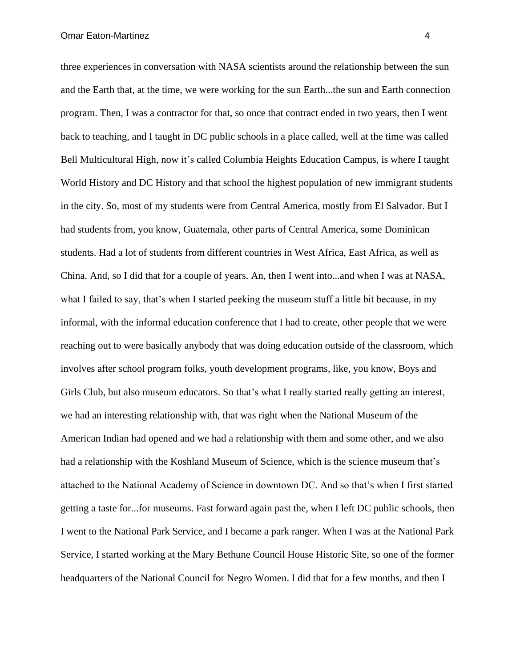three experiences in conversation with NASA scientists around the relationship between the sun and the Earth that, at the time, we were working for the sun Earth...the sun and Earth connection program. Then, I was a contractor for that, so once that contract ended in two years, then I went back to teaching, and I taught in DC public schools in a place called, well at the time was called Bell Multicultural High, now it's called Columbia Heights Education Campus, is where I taught World History and DC History and that school the highest population of new immigrant students in the city. So, most of my students were from Central America, mostly from El Salvador. But I had students from, you know, Guatemala, other parts of Central America, some Dominican students. Had a lot of students from different countries in West Africa, East Africa, as well as China. And, so I did that for a couple of years. An, then I went into...and when I was at NASA, what I failed to say, that's when I started peeking the museum stuff a little bit because, in my informal, with the informal education conference that I had to create, other people that we were reaching out to were basically anybody that was doing education outside of the classroom, which involves after school program folks, youth development programs, like, you know, Boys and Girls Club, but also museum educators. So that's what I really started really getting an interest, we had an interesting relationship with, that was right when the National Museum of the American Indian had opened and we had a relationship with them and some other, and we also had a relationship with the Koshland Museum of Science, which is the science museum that's attached to the National Academy of Science in downtown DC. And so that's when I first started getting a taste for...for museums. Fast forward again past the, when I left DC public schools, then I went to the National Park Service, and I became a park ranger. When I was at the National Park Service, I started working at the Mary Bethune Council House Historic Site, so one of the former headquarters of the National Council for Negro Women. I did that for a few months, and then I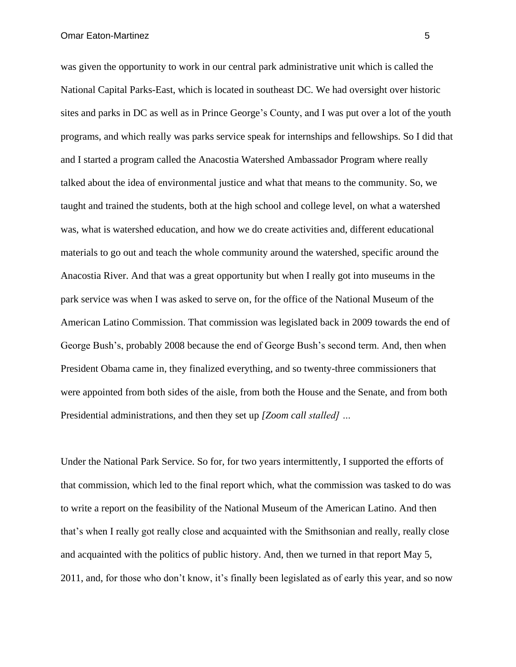was given the opportunity to work in our central park administrative unit which is called the National Capital Parks-East, which is located in southeast DC. We had oversight over historic sites and parks in DC as well as in Prince George's County, and I was put over a lot of the youth programs, and which really was parks service speak for internships and fellowships. So I did that and I started a program called the Anacostia Watershed Ambassador Program where really talked about the idea of environmental justice and what that means to the community. So, we taught and trained the students, both at the high school and college level, on what a watershed was, what is watershed education, and how we do create activities and, different educational materials to go out and teach the whole community around the watershed, specific around the Anacostia River. And that was a great opportunity but when I really got into museums in the park service was when I was asked to serve on, for the office of the National Museum of the American Latino Commission. That commission was legislated back in 2009 towards the end of George Bush's, probably 2008 because the end of George Bush's second term. And, then when President Obama came in, they finalized everything, and so twenty-three commissioners that were appointed from both sides of the aisle, from both the House and the Senate, and from both Presidential administrations, and then they set up *[Zoom call stalled] …*

Under the National Park Service. So for, for two years intermittently, I supported the efforts of that commission, which led to the final report which, what the commission was tasked to do was to write a report on the feasibility of the National Museum of the American Latino. And then that's when I really got really close and acquainted with the Smithsonian and really, really close and acquainted with the politics of public history. And, then we turned in that report May 5, 2011, and, for those who don't know, it's finally been legislated as of early this year, and so now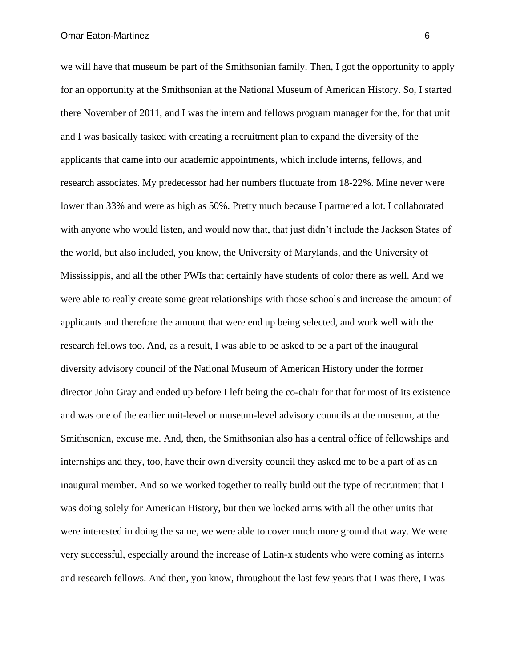Omar Eaton-Martinez 6

we will have that museum be part of the Smithsonian family. Then, I got the opportunity to apply for an opportunity at the Smithsonian at the National Museum of American History. So, I started there November of 2011, and I was the intern and fellows program manager for the, for that unit and I was basically tasked with creating a recruitment plan to expand the diversity of the applicants that came into our academic appointments, which include interns, fellows, and research associates. My predecessor had her numbers fluctuate from 18-22%. Mine never were lower than 33% and were as high as 50%. Pretty much because I partnered a lot. I collaborated with anyone who would listen, and would now that, that just didn't include the Jackson States of the world, but also included, you know, the University of Marylands, and the University of Mississippis, and all the other PWIs that certainly have students of color there as well. And we were able to really create some great relationships with those schools and increase the amount of applicants and therefore the amount that were end up being selected, and work well with the research fellows too. And, as a result, I was able to be asked to be a part of the inaugural diversity advisory council of the National Museum of American History under the former director John Gray and ended up before I left being the co-chair for that for most of its existence and was one of the earlier unit-level or museum-level advisory councils at the museum, at the Smithsonian, excuse me. And, then, the Smithsonian also has a central office of fellowships and internships and they, too, have their own diversity council they asked me to be a part of as an inaugural member. And so we worked together to really build out the type of recruitment that I was doing solely for American History, but then we locked arms with all the other units that were interested in doing the same, we were able to cover much more ground that way. We were very successful, especially around the increase of Latin-x students who were coming as interns and research fellows. And then, you know, throughout the last few years that I was there, I was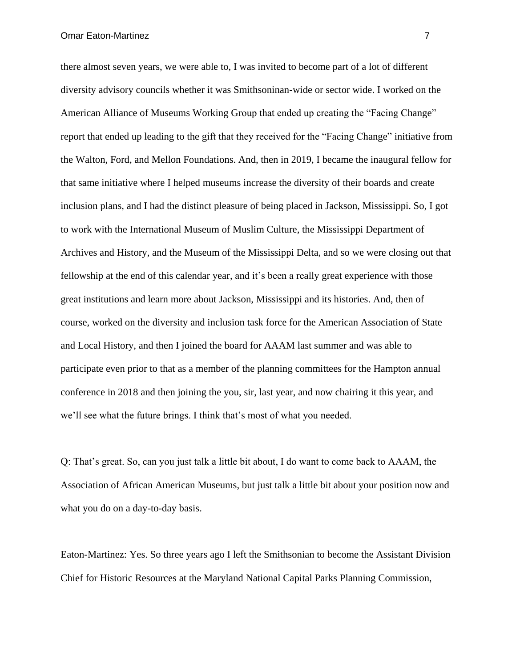there almost seven years, we were able to, I was invited to become part of a lot of different diversity advisory councils whether it was Smithsoninan-wide or sector wide. I worked on the American Alliance of Museums Working Group that ended up creating the "Facing Change" report that ended up leading to the gift that they received for the "Facing Change" initiative from the Walton, Ford, and Mellon Foundations. And, then in 2019, I became the inaugural fellow for that same initiative where I helped museums increase the diversity of their boards and create inclusion plans, and I had the distinct pleasure of being placed in Jackson, Mississippi. So, I got to work with the International Museum of Muslim Culture, the Mississippi Department of Archives and History, and the Museum of the Mississippi Delta, and so we were closing out that fellowship at the end of this calendar year, and it's been a really great experience with those great institutions and learn more about Jackson, Mississippi and its histories. And, then of course, worked on the diversity and inclusion task force for the American Association of State and Local History, and then I joined the board for AAAM last summer and was able to participate even prior to that as a member of the planning committees for the Hampton annual conference in 2018 and then joining the you, sir, last year, and now chairing it this year, and we'll see what the future brings. I think that's most of what you needed.

Q: That's great. So, can you just talk a little bit about, I do want to come back to AAAM, the Association of African American Museums, but just talk a little bit about your position now and what you do on a day-to-day basis.

Eaton-Martinez: Yes. So three years ago I left the Smithsonian to become the Assistant Division Chief for Historic Resources at the Maryland National Capital Parks Planning Commission,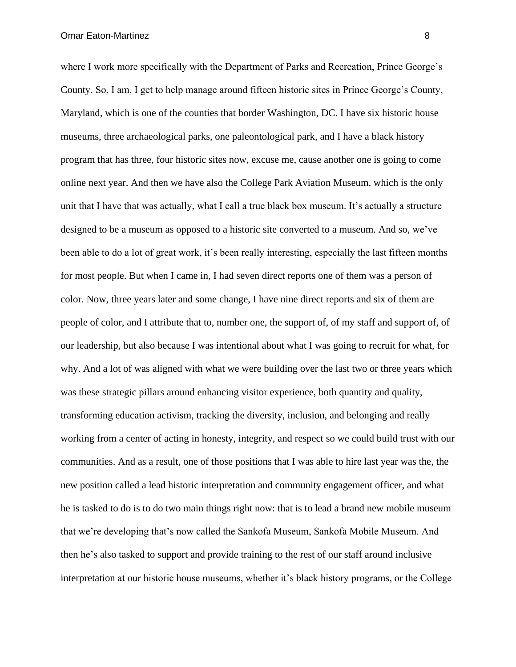where I work more specifically with the Department of Parks and Recreation, Prince George's County. So, I am, I get to help manage around fifteen historic sites in Prince George's County, Maryland, which is one of the counties that border Washington, DC. I have six historic house museums, three archaeological parks, one paleontological park, and I have a black history program that has three, four historic sites now, excuse me, cause another one is going to come online next year. And then we have also the College Park Aviation Museum, which is the only unit that I have that was actually, what I call a true black box museum. It's actually a structure designed to be a museum as opposed to a historic site converted to a museum. And so, we've been able to do a lot of great work, it's been really interesting, especially the last fifteen months for most people. But when I came in, I had seven direct reports one of them was a person of color. Now, three years later and some change, I have nine direct reports and six of them are people of color, and I attribute that to, number one, the support of, of my staff and support of, of our leadership, but also because I was intentional about what I was going to recruit for what, for why. And a lot of was aligned with what we were building over the last two or three years which was these strategic pillars around enhancing visitor experience, both quantity and quality, transforming education activism, tracking the diversity, inclusion, and belonging and really working from a center of acting in honesty, integrity, and respect so we could build trust with our communities. And as a result, one of those positions that I was able to hire last year was the, the new position called a lead historic interpretation and community engagement officer, and what he is tasked to do is to do two main things right now: that is to lead a brand new mobile museum that we're developing that's now called the Sankofa Museum, Sankofa Mobile Museum. And then he's also tasked to support and provide training to the rest of our staff around inclusive interpretation at our historic house museums, whether it's black history programs, or the College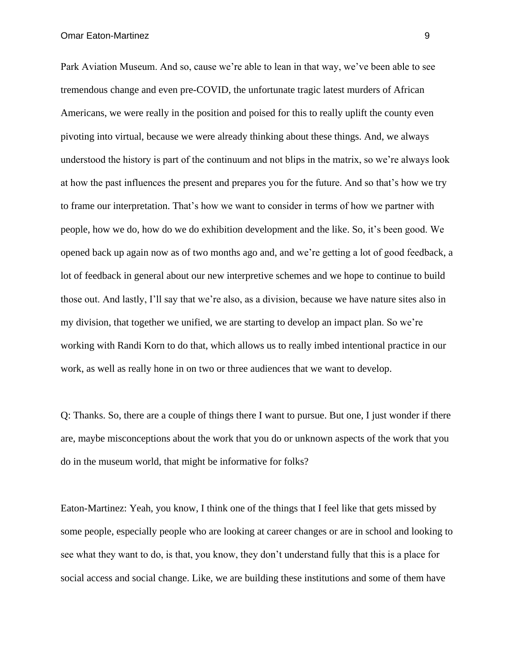Park Aviation Museum. And so, cause we're able to lean in that way, we've been able to see tremendous change and even pre-COVID, the unfortunate tragic latest murders of African Americans, we were really in the position and poised for this to really uplift the county even pivoting into virtual, because we were already thinking about these things. And, we always understood the history is part of the continuum and not blips in the matrix, so we're always look at how the past influences the present and prepares you for the future. And so that's how we try to frame our interpretation. That's how we want to consider in terms of how we partner with people, how we do, how do we do exhibition development and the like. So, it's been good. We opened back up again now as of two months ago and, and we're getting a lot of good feedback, a lot of feedback in general about our new interpretive schemes and we hope to continue to build those out. And lastly, I'll say that we're also, as a division, because we have nature sites also in my division, that together we unified, we are starting to develop an impact plan. So we're working with Randi Korn to do that, which allows us to really imbed intentional practice in our work, as well as really hone in on two or three audiences that we want to develop.

Q: Thanks. So, there are a couple of things there I want to pursue. But one, I just wonder if there are, maybe misconceptions about the work that you do or unknown aspects of the work that you do in the museum world, that might be informative for folks?

Eaton-Martinez: Yeah, you know, I think one of the things that I feel like that gets missed by some people, especially people who are looking at career changes or are in school and looking to see what they want to do, is that, you know, they don't understand fully that this is a place for social access and social change. Like, we are building these institutions and some of them have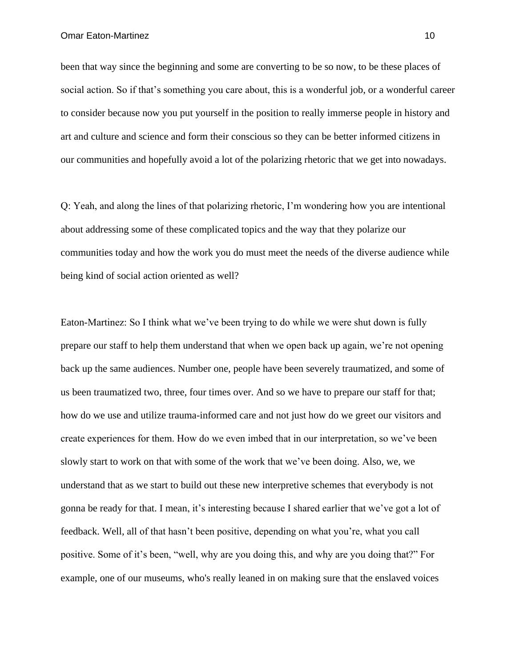been that way since the beginning and some are converting to be so now, to be these places of social action. So if that's something you care about, this is a wonderful job, or a wonderful career to consider because now you put yourself in the position to really immerse people in history and art and culture and science and form their conscious so they can be better informed citizens in our communities and hopefully avoid a lot of the polarizing rhetoric that we get into nowadays.

Q: Yeah, and along the lines of that polarizing rhetoric, I'm wondering how you are intentional about addressing some of these complicated topics and the way that they polarize our communities today and how the work you do must meet the needs of the diverse audience while being kind of social action oriented as well?

Eaton-Martinez: So I think what we've been trying to do while we were shut down is fully prepare our staff to help them understand that when we open back up again, we're not opening back up the same audiences. Number one, people have been severely traumatized, and some of us been traumatized two, three, four times over. And so we have to prepare our staff for that; how do we use and utilize trauma-informed care and not just how do we greet our visitors and create experiences for them. How do we even imbed that in our interpretation, so we've been slowly start to work on that with some of the work that we've been doing. Also, we, we understand that as we start to build out these new interpretive schemes that everybody is not gonna be ready for that. I mean, it's interesting because I shared earlier that we've got a lot of feedback. Well, all of that hasn't been positive, depending on what you're, what you call positive. Some of it's been, "well, why are you doing this, and why are you doing that?" For example, one of our museums, who's really leaned in on making sure that the enslaved voices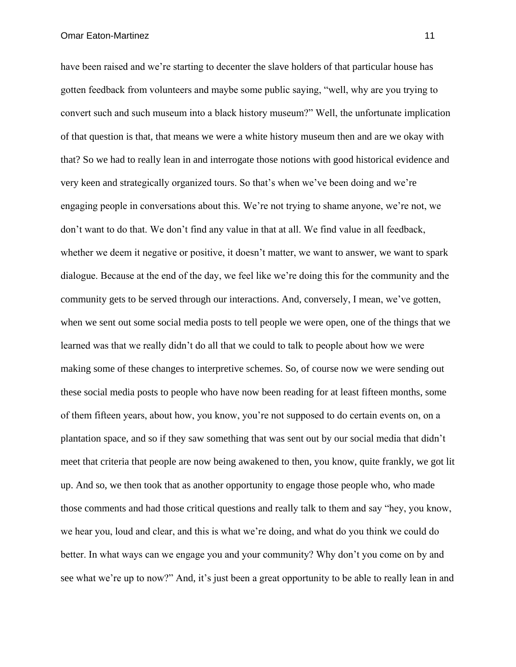have been raised and we're starting to decenter the slave holders of that particular house has gotten feedback from volunteers and maybe some public saying, "well, why are you trying to convert such and such museum into a black history museum?" Well, the unfortunate implication of that question is that, that means we were a white history museum then and are we okay with that? So we had to really lean in and interrogate those notions with good historical evidence and very keen and strategically organized tours. So that's when we've been doing and we're engaging people in conversations about this. We're not trying to shame anyone, we're not, we don't want to do that. We don't find any value in that at all. We find value in all feedback, whether we deem it negative or positive, it doesn't matter, we want to answer, we want to spark dialogue. Because at the end of the day, we feel like we're doing this for the community and the community gets to be served through our interactions. And, conversely, I mean, we've gotten, when we sent out some social media posts to tell people we were open, one of the things that we learned was that we really didn't do all that we could to talk to people about how we were making some of these changes to interpretive schemes. So, of course now we were sending out these social media posts to people who have now been reading for at least fifteen months, some of them fifteen years, about how, you know, you're not supposed to do certain events on, on a plantation space, and so if they saw something that was sent out by our social media that didn't meet that criteria that people are now being awakened to then, you know, quite frankly, we got lit up. And so, we then took that as another opportunity to engage those people who, who made those comments and had those critical questions and really talk to them and say "hey, you know, we hear you, loud and clear, and this is what we're doing, and what do you think we could do better. In what ways can we engage you and your community? Why don't you come on by and see what we're up to now?" And, it's just been a great opportunity to be able to really lean in and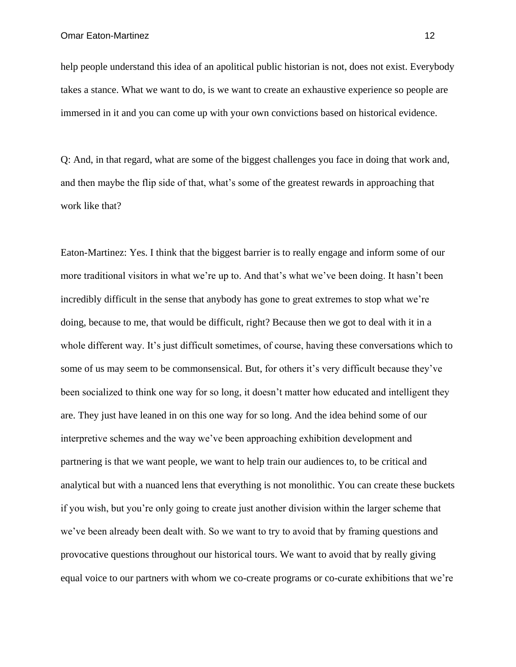help people understand this idea of an apolitical public historian is not, does not exist. Everybody takes a stance. What we want to do, is we want to create an exhaustive experience so people are immersed in it and you can come up with your own convictions based on historical evidence.

Q: And, in that regard, what are some of the biggest challenges you face in doing that work and, and then maybe the flip side of that, what's some of the greatest rewards in approaching that work like that?

Eaton-Martinez: Yes. I think that the biggest barrier is to really engage and inform some of our more traditional visitors in what we're up to. And that's what we've been doing. It hasn't been incredibly difficult in the sense that anybody has gone to great extremes to stop what we're doing, because to me, that would be difficult, right? Because then we got to deal with it in a whole different way. It's just difficult sometimes, of course, having these conversations which to some of us may seem to be commonsensical. But, for others it's very difficult because they've been socialized to think one way for so long, it doesn't matter how educated and intelligent they are. They just have leaned in on this one way for so long. And the idea behind some of our interpretive schemes and the way we've been approaching exhibition development and partnering is that we want people, we want to help train our audiences to, to be critical and analytical but with a nuanced lens that everything is not monolithic. You can create these buckets if you wish, but you're only going to create just another division within the larger scheme that we've been already been dealt with. So we want to try to avoid that by framing questions and provocative questions throughout our historical tours. We want to avoid that by really giving equal voice to our partners with whom we co-create programs or co-curate exhibitions that we're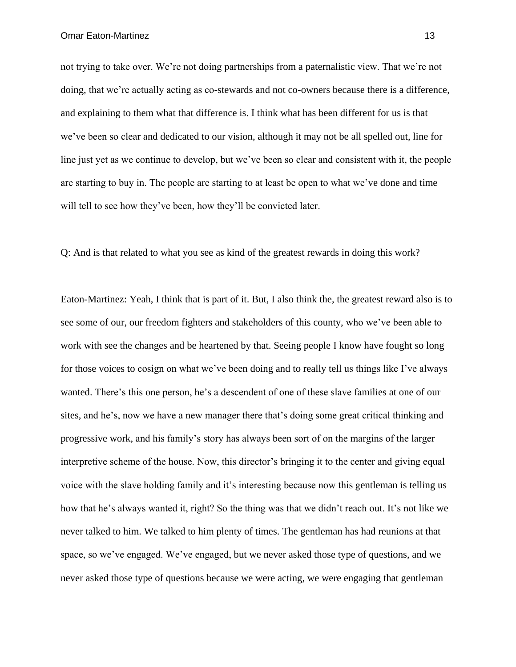not trying to take over. We're not doing partnerships from a paternalistic view. That we're not doing, that we're actually acting as co-stewards and not co-owners because there is a difference, and explaining to them what that difference is. I think what has been different for us is that we've been so clear and dedicated to our vision, although it may not be all spelled out, line for line just yet as we continue to develop, but we've been so clear and consistent with it, the people are starting to buy in. The people are starting to at least be open to what we've done and time will tell to see how they've been, how they'll be convicted later.

Q: And is that related to what you see as kind of the greatest rewards in doing this work?

Eaton-Martinez: Yeah, I think that is part of it. But, I also think the, the greatest reward also is to see some of our, our freedom fighters and stakeholders of this county, who we've been able to work with see the changes and be heartened by that. Seeing people I know have fought so long for those voices to cosign on what we've been doing and to really tell us things like I've always wanted. There's this one person, he's a descendent of one of these slave families at one of our sites, and he's, now we have a new manager there that's doing some great critical thinking and progressive work, and his family's story has always been sort of on the margins of the larger interpretive scheme of the house. Now, this director's bringing it to the center and giving equal voice with the slave holding family and it's interesting because now this gentleman is telling us how that he's always wanted it, right? So the thing was that we didn't reach out. It's not like we never talked to him. We talked to him plenty of times. The gentleman has had reunions at that space, so we've engaged. We've engaged, but we never asked those type of questions, and we never asked those type of questions because we were acting, we were engaging that gentleman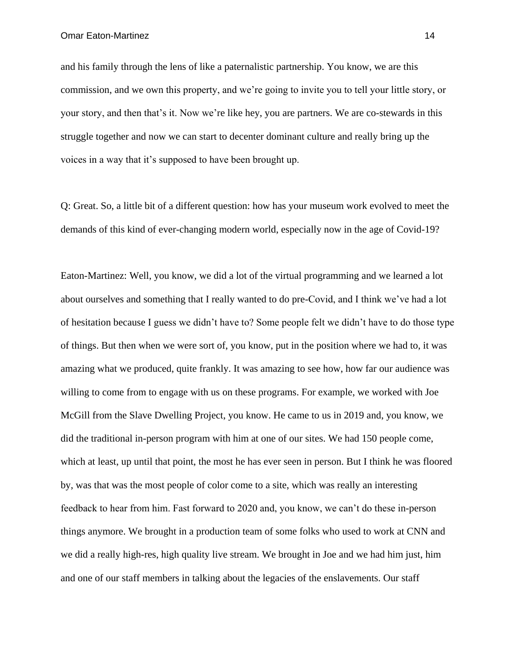Omar Eaton-Martinez 14

and his family through the lens of like a paternalistic partnership. You know, we are this commission, and we own this property, and we're going to invite you to tell your little story, or your story, and then that's it. Now we're like hey, you are partners. We are co-stewards in this struggle together and now we can start to decenter dominant culture and really bring up the voices in a way that it's supposed to have been brought up.

Q: Great. So, a little bit of a different question: how has your museum work evolved to meet the demands of this kind of ever-changing modern world, especially now in the age of Covid-19?

Eaton-Martinez: Well, you know, we did a lot of the virtual programming and we learned a lot about ourselves and something that I really wanted to do pre-Covid, and I think we've had a lot of hesitation because I guess we didn't have to? Some people felt we didn't have to do those type of things. But then when we were sort of, you know, put in the position where we had to, it was amazing what we produced, quite frankly. It was amazing to see how, how far our audience was willing to come from to engage with us on these programs. For example, we worked with Joe McGill from the Slave Dwelling Project, you know. He came to us in 2019 and, you know, we did the traditional in-person program with him at one of our sites. We had 150 people come, which at least, up until that point, the most he has ever seen in person. But I think he was floored by, was that was the most people of color come to a site, which was really an interesting feedback to hear from him. Fast forward to 2020 and, you know, we can't do these in-person things anymore. We brought in a production team of some folks who used to work at CNN and we did a really high-res, high quality live stream. We brought in Joe and we had him just, him and one of our staff members in talking about the legacies of the enslavements. Our staff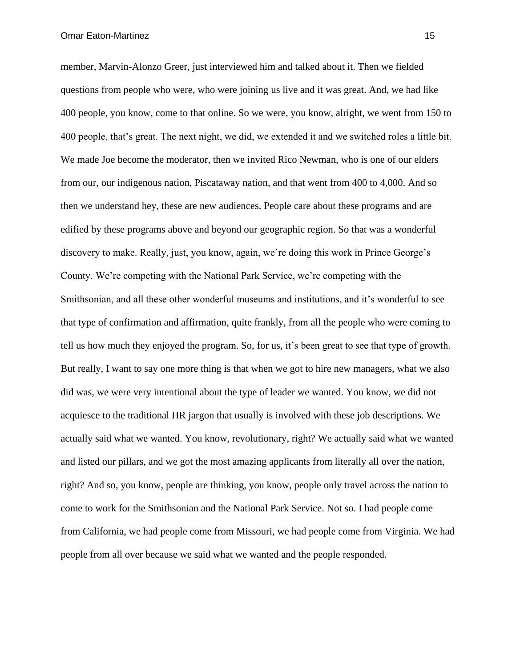member, Marvin-Alonzo Greer, just interviewed him and talked about it. Then we fielded questions from people who were, who were joining us live and it was great. And, we had like 400 people, you know, come to that online. So we were, you know, alright, we went from 150 to 400 people, that's great. The next night, we did, we extended it and we switched roles a little bit. We made Joe become the moderator, then we invited Rico Newman, who is one of our elders from our, our indigenous nation, Piscataway nation, and that went from 400 to 4,000. And so then we understand hey, these are new audiences. People care about these programs and are edified by these programs above and beyond our geographic region. So that was a wonderful discovery to make. Really, just, you know, again, we're doing this work in Prince George's County. We're competing with the National Park Service, we're competing with the Smithsonian, and all these other wonderful museums and institutions, and it's wonderful to see that type of confirmation and affirmation, quite frankly, from all the people who were coming to tell us how much they enjoyed the program. So, for us, it's been great to see that type of growth. But really, I want to say one more thing is that when we got to hire new managers, what we also did was, we were very intentional about the type of leader we wanted. You know, we did not acquiesce to the traditional HR jargon that usually is involved with these job descriptions. We actually said what we wanted. You know, revolutionary, right? We actually said what we wanted and listed our pillars, and we got the most amazing applicants from literally all over the nation, right? And so, you know, people are thinking, you know, people only travel across the nation to come to work for the Smithsonian and the National Park Service. Not so. I had people come from California, we had people come from Missouri, we had people come from Virginia. We had people from all over because we said what we wanted and the people responded.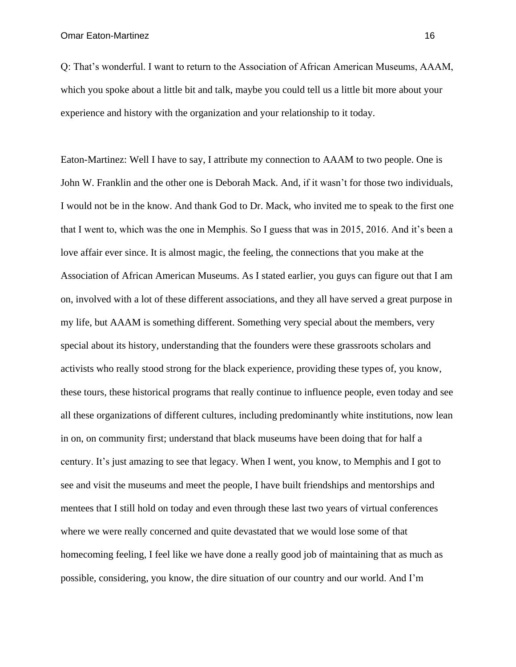Q: That's wonderful. I want to return to the Association of African American Museums, AAAM, which you spoke about a little bit and talk, maybe you could tell us a little bit more about your experience and history with the organization and your relationship to it today.

Eaton-Martinez: Well I have to say, I attribute my connection to AAAM to two people. One is John W. Franklin and the other one is Deborah Mack. And, if it wasn't for those two individuals, I would not be in the know. And thank God to Dr. Mack, who invited me to speak to the first one that I went to, which was the one in Memphis. So I guess that was in 2015, 2016. And it's been a love affair ever since. It is almost magic, the feeling, the connections that you make at the Association of African American Museums. As I stated earlier, you guys can figure out that I am on, involved with a lot of these different associations, and they all have served a great purpose in my life, but AAAM is something different. Something very special about the members, very special about its history, understanding that the founders were these grassroots scholars and activists who really stood strong for the black experience, providing these types of, you know, these tours, these historical programs that really continue to influence people, even today and see all these organizations of different cultures, including predominantly white institutions, now lean in on, on community first; understand that black museums have been doing that for half a century. It's just amazing to see that legacy. When I went, you know, to Memphis and I got to see and visit the museums and meet the people, I have built friendships and mentorships and mentees that I still hold on today and even through these last two years of virtual conferences where we were really concerned and quite devastated that we would lose some of that homecoming feeling, I feel like we have done a really good job of maintaining that as much as possible, considering, you know, the dire situation of our country and our world. And I'm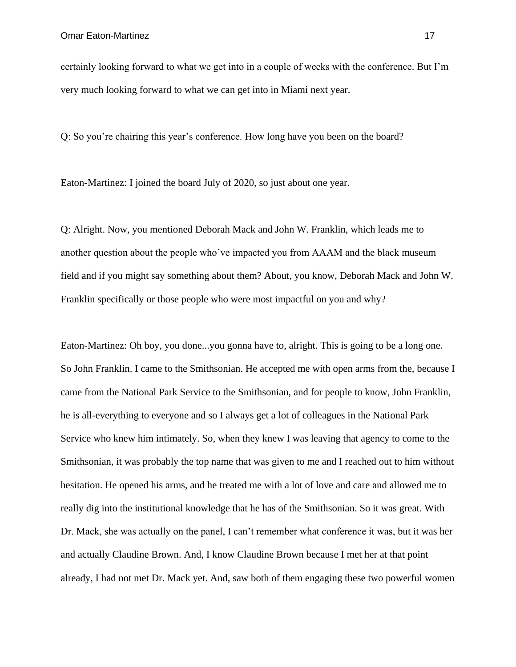certainly looking forward to what we get into in a couple of weeks with the conference. But I'm very much looking forward to what we can get into in Miami next year.

Q: So you're chairing this year's conference. How long have you been on the board?

Eaton-Martinez: I joined the board July of 2020, so just about one year.

Q: Alright. Now, you mentioned Deborah Mack and John W. Franklin, which leads me to another question about the people who've impacted you from AAAM and the black museum field and if you might say something about them? About, you know, Deborah Mack and John W. Franklin specifically or those people who were most impactful on you and why?

Eaton-Martinez: Oh boy, you done...you gonna have to, alright. This is going to be a long one. So John Franklin. I came to the Smithsonian. He accepted me with open arms from the, because I came from the National Park Service to the Smithsonian, and for people to know, John Franklin, he is all-everything to everyone and so I always get a lot of colleagues in the National Park Service who knew him intimately. So, when they knew I was leaving that agency to come to the Smithsonian, it was probably the top name that was given to me and I reached out to him without hesitation. He opened his arms, and he treated me with a lot of love and care and allowed me to really dig into the institutional knowledge that he has of the Smithsonian. So it was great. With Dr. Mack, she was actually on the panel, I can't remember what conference it was, but it was her and actually Claudine Brown. And, I know Claudine Brown because I met her at that point already, I had not met Dr. Mack yet. And, saw both of them engaging these two powerful women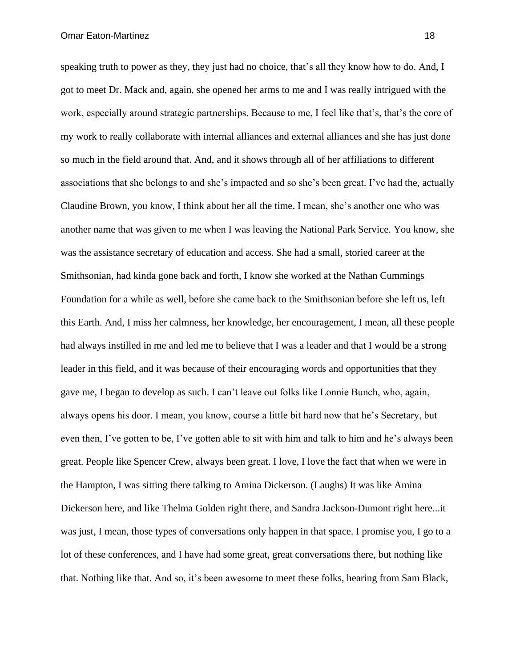speaking truth to power as they, they just had no choice, that's all they know how to do. And, I got to meet Dr. Mack and, again, she opened her arms to me and I was really intrigued with the work, especially around strategic partnerships. Because to me, I feel like that's, that's the core of my work to really collaborate with internal alliances and external alliances and she has just done so much in the field around that. And, and it shows through all of her affiliations to different associations that she belongs to and she's impacted and so she's been great. I've had the, actually Claudine Brown, you know, I think about her all the time. I mean, she's another one who was another name that was given to me when I was leaving the National Park Service. You know, she was the assistance secretary of education and access. She had a small, storied career at the Smithsonian, had kinda gone back and forth, I know she worked at the Nathan Cummings Foundation for a while as well, before she came back to the Smithsonian before she left us, left this Earth. And, I miss her calmness, her knowledge, her encouragement, I mean, all these people had always instilled in me and led me to believe that I was a leader and that I would be a strong leader in this field, and it was because of their encouraging words and opportunities that they gave me, I began to develop as such. I can't leave out folks like Lonnie Bunch, who, again, always opens his door. I mean, you know, course a little bit hard now that he's Secretary, but even then, I've gotten to be, I've gotten able to sit with him and talk to him and he's always been great. People like Spencer Crew, always been great. I love, I love the fact that when we were in the Hampton, I was sitting there talking to Amina Dickerson. (Laughs) It was like Amina Dickerson here, and like Thelma Golden right there, and Sandra Jackson-Dumont right here...it was just, I mean, those types of conversations only happen in that space. I promise you, I go to a lot of these conferences, and I have had some great, great conversations there, but nothing like that. Nothing like that. And so, it's been awesome to meet these folks, hearing from Sam Black,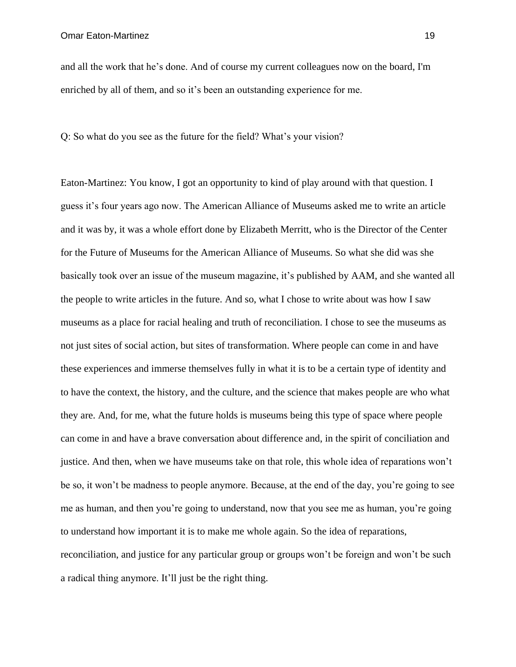and all the work that he's done. And of course my current colleagues now on the board, I'm enriched by all of them, and so it's been an outstanding experience for me.

Q: So what do you see as the future for the field? What's your vision?

Eaton-Martinez: You know, I got an opportunity to kind of play around with that question. I guess it's four years ago now. The American Alliance of Museums asked me to write an article and it was by, it was a whole effort done by Elizabeth Merritt, who is the Director of the Center for the Future of Museums for the American Alliance of Museums. So what she did was she basically took over an issue of the museum magazine, it's published by AAM, and she wanted all the people to write articles in the future. And so, what I chose to write about was how I saw museums as a place for racial healing and truth of reconciliation. I chose to see the museums as not just sites of social action, but sites of transformation. Where people can come in and have these experiences and immerse themselves fully in what it is to be a certain type of identity and to have the context, the history, and the culture, and the science that makes people are who what they are. And, for me, what the future holds is museums being this type of space where people can come in and have a brave conversation about difference and, in the spirit of conciliation and justice. And then, when we have museums take on that role, this whole idea of reparations won't be so, it won't be madness to people anymore. Because, at the end of the day, you're going to see me as human, and then you're going to understand, now that you see me as human, you're going to understand how important it is to make me whole again. So the idea of reparations, reconciliation, and justice for any particular group or groups won't be foreign and won't be such a radical thing anymore. It'll just be the right thing.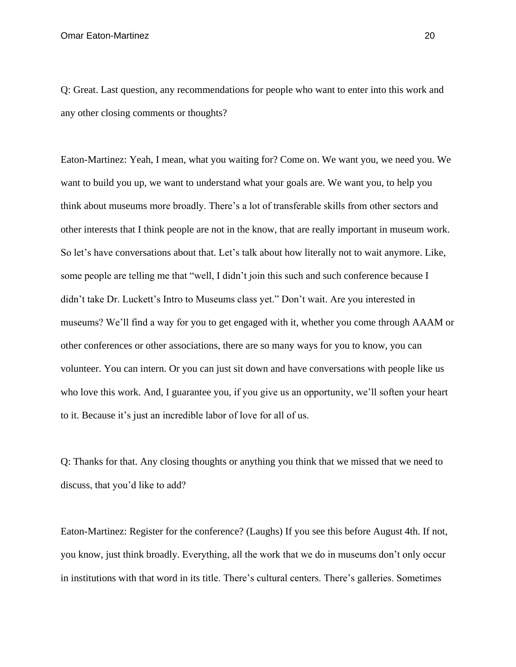Q: Great. Last question, any recommendations for people who want to enter into this work and any other closing comments or thoughts?

Eaton-Martinez: Yeah, I mean, what you waiting for? Come on. We want you, we need you. We want to build you up, we want to understand what your goals are. We want you, to help you think about museums more broadly. There's a lot of transferable skills from other sectors and other interests that I think people are not in the know, that are really important in museum work. So let's have conversations about that. Let's talk about how literally not to wait anymore. Like, some people are telling me that "well, I didn't join this such and such conference because I didn't take Dr. Luckett's Intro to Museums class yet." Don't wait. Are you interested in museums? We'll find a way for you to get engaged with it, whether you come through AAAM or other conferences or other associations, there are so many ways for you to know, you can volunteer. You can intern. Or you can just sit down and have conversations with people like us who love this work. And, I guarantee you, if you give us an opportunity, we'll soften your heart to it. Because it's just an incredible labor of love for all of us.

Q: Thanks for that. Any closing thoughts or anything you think that we missed that we need to discuss, that you'd like to add?

Eaton-Martinez: Register for the conference? (Laughs) If you see this before August 4th. If not, you know, just think broadly. Everything, all the work that we do in museums don't only occur in institutions with that word in its title. There's cultural centers. There's galleries. Sometimes